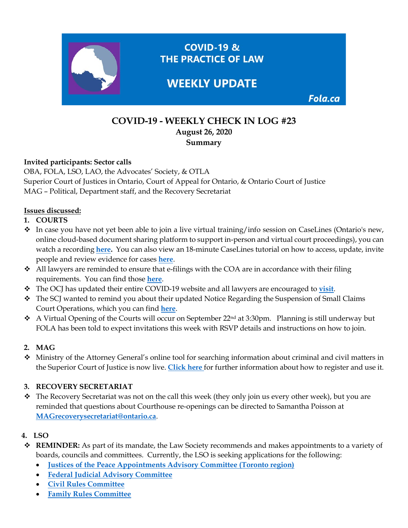

# **COVID-19 - WEEKLY CHECK IN LOG #23 August 26, 2020 Summary**

#### **Invited participants: Sector calls**

OBA, FOLA, LSO, LAO, the Advocates' Society, & OTLA Superior Court of Justices in Ontario, Court of Appeal for Ontario, & Ontario Court of Justice MAG – Political, Department staff, and the Recovery Secretariat

### **Issues discussed:**

- **1. COURTS**
- $\bullet$  In case you have not yet been able to join a live virtual training/info session on CaseLines (Ontario's new, online cloud-based document sharing platform to support in-person and virtual court proceedings), you can watch a recording **[here.](https://vimeo.com/448576991)** You can also view an 18-minute CaseLines tutorial on how to access, update, invite people and review evidence for cases **[here](https://liveshareeast3.seismic.com/i/YzkpVdT2W4vxGvPLUSSIGNmRvhICg5t86Ct8pomxCOun3v4___lpLP1jQA8x4NF4I2vPLUSSIGNbk1oHvnt4bQHKJzes54hvNSDL7czIPueja3VvcSCb084STdUDWq6Fo8DvEkssY4VtpVaq)**.
- $\triangleleft$  All lawyers are reminded to ensure that e-filings with the COA are in accordance with their filing requirements. You can find those **[here](https://www.ontariocourts.ca/coa/en/notices/covid-19/practice-direction-electronic-conduct-amended-july17.pdf)**.
- The OCJ has updated their entire COVID-19 website and all lawyers are encouraged to **[visit](https://www.ontariocourts.ca/ocj/covid-19/)**.
- \* The SCJ wanted to remind you about their updated Notice Regarding the Suspension of Small Claims Court Operations, which you can find **[here](https://www.ontariocourts.ca/scj/notices-and-orders-covid-19/suspension-small-claims-ops/)**.
- \* A Virtual Opening of the Courts will occur on September 22<sup>nd</sup> at 3:30pm. Planning is still underway but FOLA has been told to expect invitations this week with RSVP details and instructions on how to join.

## **2. MAG**

 Ministry of the Attorney General's online tool for searching information about criminal and civil matters in the Superior Court of Justice is now live. **[Click here](https://www.ontario.ca/page/search-court-cases-online)** for further information about how to register and use it.

### **3. RECOVERY SECRETARIAT**

\* The Recovery Secretariat was not on the call this week (they only join us every other week), but you are reminded that questions about Courthouse re-openings can be directed to Samantha Poisson at **[MAGrecoverysecretariat@ontario.ca](mailto:MAGrecoverysecretariat@ontario.ca)**.

## **4. LSO**

- **REMINDER:** As part of its mandate, the Law Society recommends and makes appointments to a variety of boards, councils and committees. Currently, the LSO is seeking applications for the following:
	- **[Justices of the Peace Appointments Advisory Committee \(Toronto region\)](https://clicktime.symantec.com/39zEPBodUHu35SXGZUMo7sq7Vc?u=https%3A%2F%2Fwww.ontario.ca%2Fpage%2Fpublic-appointments)**
	- **[Federal Judicial Advisory Committee](https://clicktime.symantec.com/38xPJAFb4o5npVy4kU5FNp27Vc?u=https%3A%2F%2Fwww.fja-cmf.gc.ca%2Fappointments-nominations%2Fcommittees-comites%2Fmembers-membres%2Findex-eng.html)**
	- **[Civil Rules Committee](https://clicktime.symantec.com/3GXAgYts1TJFFbf1272gBG17Vc?u=https%3A%2F%2Fwww.pas.gov.on.ca%2FHome%2FAgency%2F433)**
	- **[Family Rules Committee](https://clicktime.symantec.com/392MdHNaz7nDPtDPX8mvVji7Vc?u=https%3A%2F%2Fwww.pas.gov.on.ca%2FHome%2FAgency%2F442)**